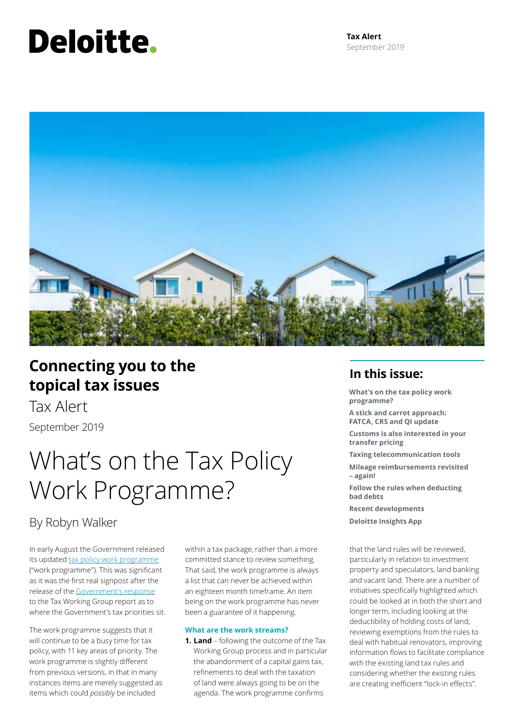# **Deloitte.**



# **Connecting you to the topical tax issues**

Tax Alert September 2019

# What's on the Tax Policy Work Programme?

# By Robyn Walker

In early August the Government released its updated [tax policy work programme](http://taxpolicy.ird.govt.nz/sites/default/files/news/2019-08-08-tax-policy-work-programme-printable.pdf) ("work programme"). This was significant as it was the first real signpost after the release of the [Government's response](http://taxpolicy.ird.govt.nz/news/2019-04-17-government-responds-twg-recommendations) to the Tax Working Group report as to where the Government's tax priorities sit.

The work programme suggests that it will continue to be a busy time for tax policy, with 11 key areas of priority. The work programme is slightly different from previous versions, in that in many instances items are merely suggested as items which could *possibly* be included

within a tax package, rather than a more committed stance to review something. That said, the work programme is always a list that can never be achieved within an eighteen month timeframe. An item being on the work programme has never been a guarantee of it happening.

## **What are the work streams?**

**1. Land** – following the outcome of the Tax Working Group process and in particular the abandonment of a capital gains tax, refinements to deal with the taxation of land were always going to be on the agenda. The work programme confirms

# **In this issue:**

**What's on the tax policy work programme?**

**A stick and carrot approach: FATCA, CRS and QI update**

**Customs is also interested in your transfer pricing**

**Taxing telecommunication tools**

**Mileage reimbursements revisited – again!**

**Follow the rules when deducting bad debts** 

**Recent developments**

**Deloitte Insights App**

that the land rules will be reviewed, particularly in relation to investment property and speculators, land banking and vacant land. There are a number of initiatives specifically highlighted which could be looked at in both the short and longer term, including looking at the deductibility of holding costs of land, reviewing exemptions from the rules to deal with habitual renovators, improving information flows to facilitate compliance with the existing land tax rules and considering whether the existing rules are creating inefficient "lock-in effects".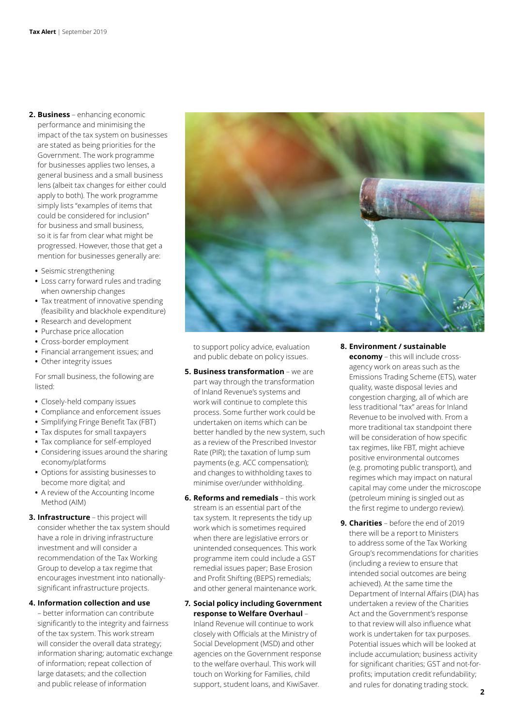- **2. Business** enhancing economic performance and minimising the impact of the tax system on businesses are stated as being priorities for the Government. The work programme for businesses applies two lenses, a general business and a small business lens (albeit tax changes for either could apply to both). The work programme simply lists "examples of items that could be considered for inclusion" for business and small business, so it is far from clear what might be progressed. However, those that get a mention for businesses generally are:
	- **•** Seismic strengthening
	- **•** Loss carry forward rules and trading when ownership changes
	- **•** Tax treatment of innovative spending (feasibility and blackhole expenditure)
	- **•** Research and development
	- **•** Purchase price allocation
	- **•** Cross-border employment
	- **•** Financial arrangement issues; and
	- **•** Other integrity issues

For small business, the following are listed:

- **•** Closely-held company issues
- **•** Compliance and enforcement issues
- **•** Simplifying Fringe Benefit Tax (FBT)
- **•** Tax disputes for small taxpayers
- **•** Tax compliance for self-employed
- **•** Considering issues around the sharing economy/platforms
- **•** Options for assisting businesses to become more digital; and
- **•** A review of the Accounting Income Method (AIM)
- **3. Infrastructure** this project will consider whether the tax system should have a role in driving infrastructure investment and will consider a recommendation of the Tax Working Group to develop a tax regime that encourages investment into nationallysignificant infrastructure projects.

### **4. Information collection and use**

– better information can contribute significantly to the integrity and fairness of the tax system. This work stream will consider the overall data strategy; information sharing; automatic exchange of information; repeat collection of large datasets; and the collection and public release of information



to support policy advice, evaluation and public debate on policy issues.

- **5. Business transformation** we are part way through the transformation of Inland Revenue's systems and work will continue to complete this process. Some further work could be undertaken on items which can be better handled by the new system, such as a review of the Prescribed Investor Rate (PIR); the taxation of lump sum payments (e.g. ACC compensation); and changes to withholding taxes to minimise over/under withholding.
- **6. Reforms and remedials** this work stream is an essential part of the tax system. It represents the tidy up work which is sometimes required when there are legislative errors or unintended consequences. This work programme item could include a GST remedial issues paper; Base Erosion and Profit Shifting (BEPS) remedials; and other general maintenance work.

# **7. Social policy including Government response to Welfare Overhaul** –

Inland Revenue will continue to work closely with Officials at the Ministry of Social Development (MSD) and other agencies on the Government response to the welfare overhaul. This work will touch on Working for Families, child support, student loans, and KiwiSaver.

# **8. Environment / sustainable**

**economy** – this will include crossagency work on areas such as the Emissions Trading Scheme (ETS), water quality, waste disposal levies and congestion charging, all of which are less traditional "tax" areas for Inland Revenue to be involved with. From a more traditional tax standpoint there will be consideration of how specific tax regimes, like FBT, might achieve positive environmental outcomes (e.g. promoting public transport), and regimes which may impact on natural capital may come under the microscope (petroleum mining is singled out as the first regime to undergo review).

**9. Charities** – before the end of 2019 there will be a report to Ministers to address some of the Tax Working Group's recommendations for charities (including a review to ensure that intended social outcomes are being achieved). At the same time the Department of Internal Affairs (DIA) has undertaken a review of the Charities Act and the Government's response to that review will also influence what work is undertaken for tax purposes. Potential issues which will be looked at include accumulation; business activity for significant charities; GST and not-forprofits; imputation credit refundability; and rules for donating trading stock.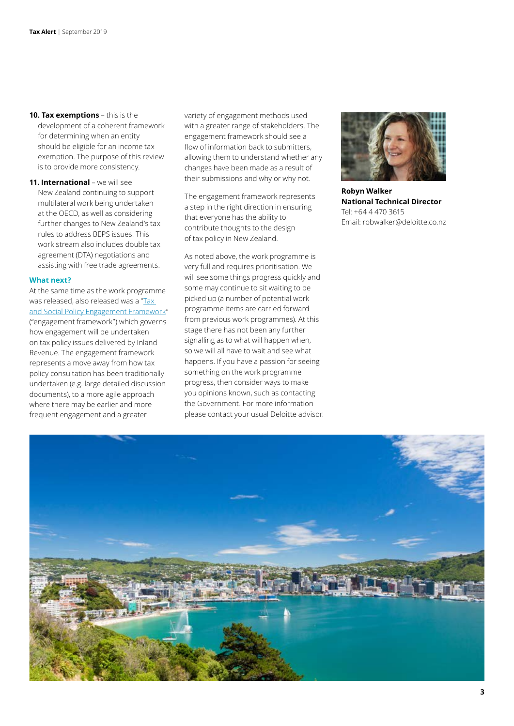- **10. Tax exemptions** this is the development of a coherent framework for determining when an entity should be eligible for an income tax exemption. The purpose of this review is to provide more consistency.
- **11. International**  we will see New Zealand continuing to support multilateral work being undertaken at the OECD, as well as considering further changes to New Zealand's tax rules to address BEPS issues. This work stream also includes double tax agreement (DTA) negotiations and assisting with free trade agreements.

### **What next?**

At the same time as the work programme was released, also released was a "Tax [and Social Policy Engagement Framework"](http://taxpolicy.ird.govt.nz/sites/default/files/2019-other-policy-engagement-framework.pdf) ("engagement framework") which governs how engagement will be undertaken on tax policy issues delivered by Inland Revenue. The engagement framework represents a move away from how tax policy consultation has been traditionally undertaken (e.g. large detailed discussion documents), to a more agile approach where there may be earlier and more frequent engagement and a greater

variety of engagement methods used with a greater range of stakeholders. The engagement framework should see a flow of information back to submitters, allowing them to understand whether any changes have been made as a result of their submissions and why or why not.

The engagement framework represents a step in the right direction in ensuring that everyone has the ability to contribute thoughts to the design of tax policy in New Zealand.

As noted above, the work programme is very full and requires prioritisation. We will see some things progress quickly and some may continue to sit waiting to be picked up (a number of potential work programme items are carried forward from previous work programmes). At this stage there has not been any further signalling as to what will happen when, so we will all have to wait and see what happens. If you have a passion for seeing something on the work programme progress, then consider ways to make you opinions known, such as contacting the Government. For more information please contact your usual Deloitte advisor.



**Robyn Walker National Technical Director** Tel: +64 4 470 3615 Email: robwalker@deloitte.co.nz

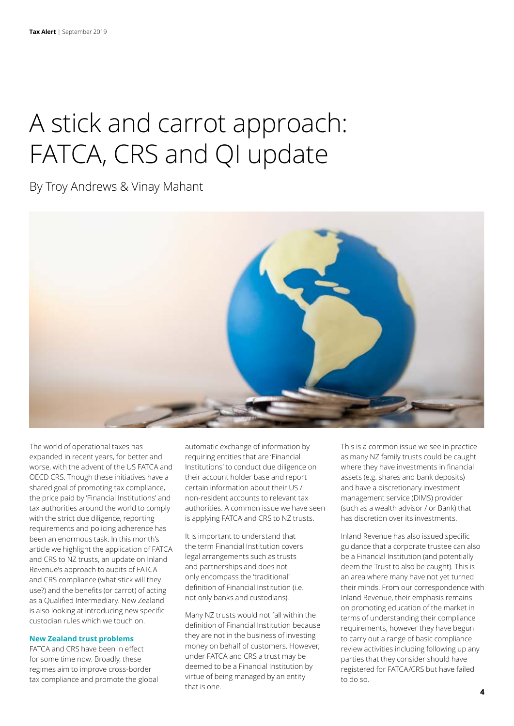# A stick and carrot approach: FATCA, CRS and QI update

By Troy Andrews & Vinay Mahant



The world of operational taxes has expanded in recent years, for better and worse, with the advent of the US FATCA and OECD CRS. Though these initiatives have a shared goal of promoting tax compliance, the price paid by 'Financial Institutions' and tax authorities around the world to comply with the strict due diligence, reporting requirements and policing adherence has been an enormous task. In this month's article we highlight the application of FATCA and CRS to NZ trusts, an update on Inland Revenue's approach to audits of FATCA and CRS compliance (what stick will they use?) and the benefits (or carrot) of acting as a Qualified Intermediary. New Zealand is also looking at introducing new specific custodian rules which we touch on.

### **New Zealand trust problems**

FATCA and CRS have been in effect for some time now. Broadly, these regimes aim to improve cross-border tax compliance and promote the global automatic exchange of information by requiring entities that are 'Financial Institutions' to conduct due diligence on their account holder base and report certain information about their US / non-resident accounts to relevant tax authorities. A common issue we have seen is applying FATCA and CRS to NZ trusts.

It is important to understand that the term Financial Institution covers legal arrangements such as trusts and partnerships and does not only encompass the 'traditional' definition of Financial Institution (i.e. not only banks and custodians).

Many NZ trusts would not fall within the definition of Financial Institution because they are not in the business of investing money on behalf of customers. However, under FATCA and CRS a trust may be deemed to be a Financial Institution by virtue of being managed by an entity that is one.

This is a common issue we see in practice as many NZ family trusts could be caught where they have investments in financial assets (e.g. shares and bank deposits) and have a discretionary investment management service (DIMS) provider (such as a wealth advisor / or Bank) that has discretion over its investments.

Inland Revenue has also issued specific guidance that a corporate trustee can also be a Financial Institution (and potentially deem the Trust to also be caught). This is an area where many have not yet turned their minds. From our correspondence with Inland Revenue, their emphasis remains on promoting education of the market in terms of understanding their compliance requirements, however they have begun to carry out a range of basic compliance review activities including following up any parties that they consider should have registered for FATCA/CRS but have failed to do so.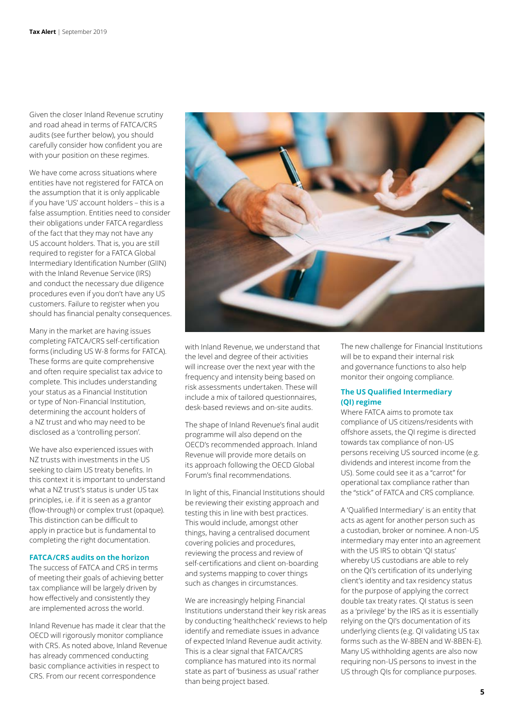Given the closer Inland Revenue scrutiny and road ahead in terms of FATCA/CRS audits (see further below), you should carefully consider how confident you are with your position on these regimes.

We have come across situations where entities have not registered for FATCA on the assumption that it is only applicable if you have 'US' account holders – this is a false assumption. Entities need to consider their obligations under FATCA regardless of the fact that they may not have any US account holders. That is, you are still required to register for a FATCA Global Intermediary Identification Number (GIIN) with the Inland Revenue Service (IRS) and conduct the necessary due diligence procedures even if you don't have any US customers. Failure to register when you should has financial penalty consequences.

Many in the market are having issues completing FATCA/CRS self-certification forms (including US W-8 forms for FATCA). These forms are quite comprehensive and often require specialist tax advice to complete. This includes understanding your status as a Financial Institution or type of Non-Financial Institution, determining the account holders of a NZ trust and who may need to be disclosed as a 'controlling person'.

We have also experienced issues with NZ trusts with investments in the US seeking to claim US treaty benefits. In this context it is important to understand what a NZ trust's status is under US tax principles, i.e. if it is seen as a grantor (flow-through) or complex trust (opaque). This distinction can be difficult to apply in practice but is fundamental to completing the right documentation.

### **FATCA/CRS audits on the horizon**

The success of FATCA and CRS in terms of meeting their goals of achieving better tax compliance will be largely driven by how effectively and consistently they are implemented across the world.

Inland Revenue has made it clear that the OECD will rigorously monitor compliance with CRS. As noted above, Inland Revenue has already commenced conducting basic compliance activities in respect to CRS. From our recent correspondence



with Inland Revenue, we understand that the level and degree of their activities will increase over the next year with the frequency and intensity being based on risk assessments undertaken. These will include a mix of tailored questionnaires, desk-based reviews and on-site audits.

The shape of Inland Revenue's final audit programme will also depend on the OECD's recommended approach. Inland Revenue will provide more details on its approach following the OECD Global Forum's final recommendations.

In light of this, Financial Institutions should be reviewing their existing approach and testing this in line with best practices. This would include, amongst other things, having a centralised document covering policies and procedures, reviewing the process and review of self-certifications and client on-boarding and systems mapping to cover things such as changes in circumstances.

We are increasingly helping Financial Institutions understand their key risk areas by conducting 'healthcheck' reviews to help identify and remediate issues in advance of expected Inland Revenue audit activity. This is a clear signal that FATCA/CRS compliance has matured into its normal state as part of 'business as usual' rather than being project based.

The new challenge for Financial Institutions will be to expand their internal risk and governance functions to also help monitor their ongoing compliance.

# **The US Qualified Intermediary (QI) regime**

Where FATCA aims to promote tax compliance of US citizens/residents with offshore assets, the QI regime is directed towards tax compliance of non-US persons receiving US sourced income (e.g. dividends and interest income from the US). Some could see it as a "carrot" for operational tax compliance rather than the "stick" of FATCA and CRS compliance.

A 'Qualified Intermediary' is an entity that acts as agent for another person such as a custodian, broker or nominee. A non-US intermediary may enter into an agreement with the US IRS to obtain 'QI status' whereby US custodians are able to rely on the QI's certification of its underlying client's identity and tax residency status for the purpose of applying the correct double tax treaty rates. QI status is seen as a 'privilege' by the IRS as it is essentially relying on the QI's documentation of its underlying clients (e.g. QI validating US tax forms such as the W-8BEN and W-8BEN-E). Many US withholding agents are also now requiring non-US persons to invest in the US through QIs for compliance purposes.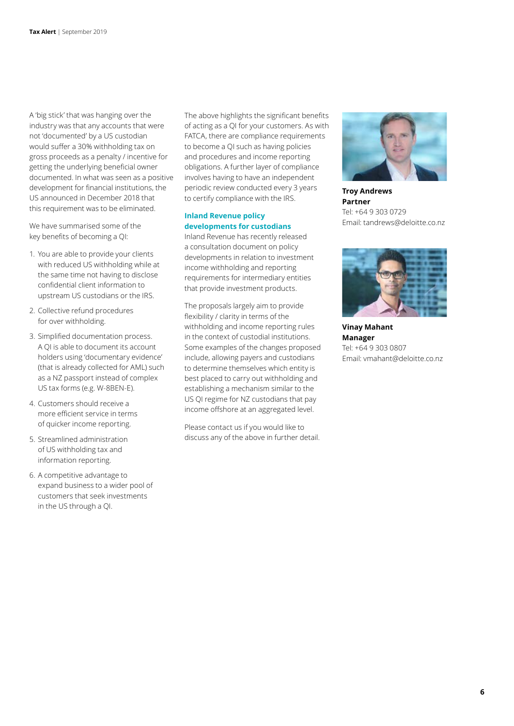A 'big stick' that was hanging over the industry was that any accounts that were not 'documented' by a US custodian would suffer a 30% withholding tax on gross proceeds as a penalty / incentive for getting the underlying beneficial owner documented. In what was seen as a positive development for financial institutions, the US announced in December 2018 that this requirement was to be eliminated.

We have summarised some of the key benefits of becoming a QI:

- 1. You are able to provide your clients with reduced US withholding while at the same time not having to disclose confidential client information to upstream US custodians or the IRS.
- 2. Collective refund procedures for over withholding.
- 3. Simplified documentation process. A QI is able to document its account holders using 'documentary evidence' (that is already collected for AML) such as a NZ passport instead of complex US tax forms (e.g. W-8BEN-E).
- 4. Customers should receive a more efficient service in terms of quicker income reporting.
- 5. Streamlined administration of US withholding tax and information reporting.
- 6. A competitive advantage to expand business to a wider pool of customers that seek investments in the US through a QI.

The above highlights the significant benefits of acting as a QI for your customers. As with FATCA, there are compliance requirements to become a QI such as having policies and procedures and income reporting obligations. A further layer of compliance involves having to have an independent periodic review conducted every 3 years to certify compliance with the IRS.

# **Inland Revenue policy developments for custodians**

Inland Revenue has recently released a consultation document on policy developments in relation to investment income withholding and reporting requirements for intermediary entities that provide investment products.

The proposals largely aim to provide flexibility / clarity in terms of the withholding and income reporting rules in the context of custodial institutions. Some examples of the changes proposed include, allowing payers and custodians to determine themselves which entity is best placed to carry out withholding and establishing a mechanism similar to the US QI regime for NZ custodians that pay income offshore at an aggregated level.

Please contact us if you would like to discuss any of the above in further detail.



**Troy Andrews Partner** Tel: +64 9 303 0729 Email: tandrews@deloitte.co.nz



**Vinay Mahant Manager** Tel: +64 9 303 0807 Email: vmahant@deloitte.co.nz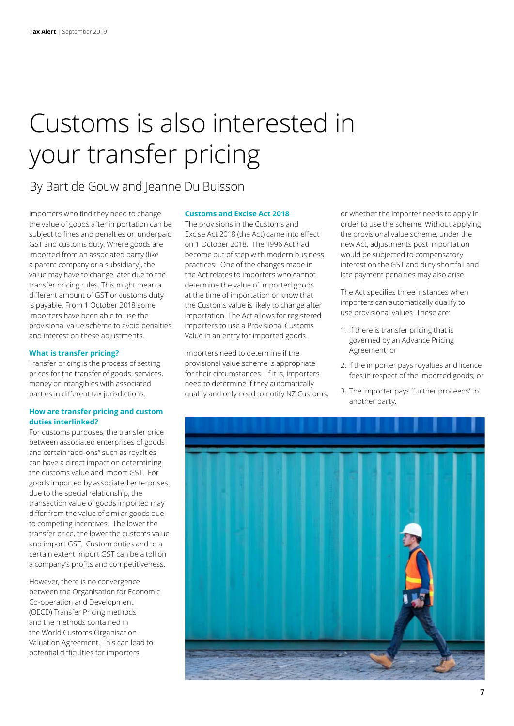# Customs is also interested in your transfer pricing

By Bart de Gouw and Jeanne Du Buisson

Importers who find they need to change the value of goods after importation can be subject to fines and penalties on underpaid GST and customs duty. Where goods are imported from an associated party (like a parent company or a subsidiary), the value may have to change later due to the transfer pricing rules. This might mean a different amount of GST or customs duty is payable. From 1 October 2018 some importers have been able to use the provisional value scheme to avoid penalties and interest on these adjustments.

### **What is transfer pricing?**

Transfer pricing is the process of setting prices for the transfer of goods, services, money or intangibles with associated parties in different tax jurisdictions.

## **How are transfer pricing and custom duties interlinked?**

For customs purposes, the transfer price between associated enterprises of goods and certain "add-ons" such as royalties can have a direct impact on determining the customs value and import GST. For goods imported by associated enterprises, due to the special relationship, the transaction value of goods imported may differ from the value of similar goods due to competing incentives. The lower the transfer price, the lower the customs value and import GST. Custom duties and to a certain extent import GST can be a toll on a company's profits and competitiveness.

However, there is no convergence between the Organisation for Economic Co-operation and Development (OECD) Transfer Pricing methods and the methods contained in the World Customs Organisation Valuation Agreement. This can lead to potential difficulties for importers.

## **Customs and Excise Act 2018**

The provisions in the Customs and Excise Act 2018 (the Act) came into effect on 1 October 2018. The 1996 Act had become out of step with modern business practices. One of the changes made in the Act relates to importers who cannot determine the value of imported goods at the time of importation or know that the Customs value is likely to change after importation. The Act allows for registered importers to use a Provisional Customs Value in an entry for imported goods.

Importers need to determine if the provisional value scheme is appropriate for their circumstances. If it is, importers need to determine if they automatically qualify and only need to notify NZ Customs,

or whether the importer needs to apply in order to use the scheme. Without applying the provisional value scheme, under the new Act, adjustments post importation would be subjected to compensatory interest on the GST and duty shortfall and late payment penalties may also arise.

The Act specifies three instances when importers can automatically qualify to use provisional values. These are:

- 1. If there is transfer pricing that is governed by an Advance Pricing Agreement; or
- 2. If the importer pays royalties and licence fees in respect of the imported goods; or
- 3. The importer pays 'further proceeds' to another party.

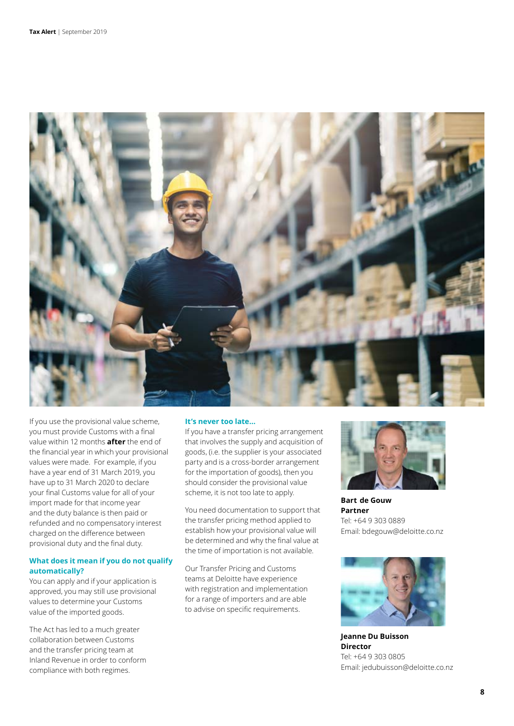

If you use the provisional value scheme, you must provide Customs with a final value within 12 months **after** the end of the financial year in which your provisional values were made. For example, if you have a year end of 31 March 2019, you have up to 31 March 2020 to declare your final Customs value for all of your import made for that income year and the duty balance is then paid or refunded and no compensatory interest charged on the difference between provisional duty and the final duty.

# **What does it mean if you do not qualify automatically?**

You can apply and if your application is approved, you may still use provisional values to determine your Customs value of the imported goods.

The Act has led to a much greater collaboration between Customs and the transfer pricing team at Inland Revenue in order to conform compliance with both regimes.

## **It's never too late…**

If you have a transfer pricing arrangement that involves the supply and acquisition of goods, (i.e. the supplier is your associated party and is a cross-border arrangement for the importation of goods), then you should consider the provisional value scheme, it is not too late to apply.

You need documentation to support that the transfer pricing method applied to establish how your provisional value will be determined and why the final value at the time of importation is not available.

Our Transfer Pricing and Customs teams at Deloitte have experience with registration and implementation for a range of importers and are able to advise on specific requirements.



**Bart  de Gouw Partner** Tel: +64 9 303 0889 Email: bdegouw@deloitte.co.nz



**Jeanne Du Buisson Director**  Tel: +64 9 303 0805 Email: jedubuisson@deloitte.co.nz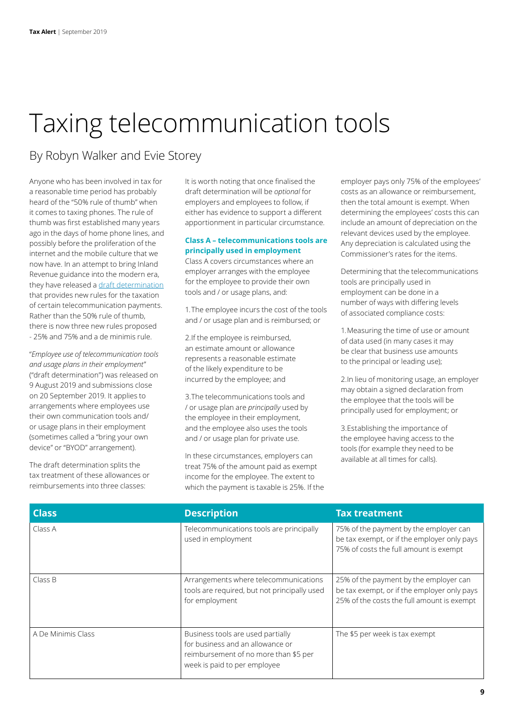# Taxing telecommunication tools

# By Robyn Walker and Evie Storey

Anyone who has been involved in tax for a reasonable time period has probably heard of the "50% rule of thumb" when it comes to taxing phones. The rule of thumb was first established many years ago in the days of home phone lines, and possibly before the proliferation of the internet and the mobile culture that we now have. In an attempt to bring Inland Revenue guidance into the modern era, they have released a [draft determination](https://www.classic.ird.govt.nz/resources/3/1/31c23dff-7fb5-4742-a88f-c84ae2d85147/ED0219.pdf) that provides new rules for the taxation of certain telecommunication payments. Rather than the 50% rule of thumb, there is now three new rules proposed - 25% and 75% and a de minimis rule.

"*Employee use of telecommunication tools and usage plans in their employment*" ("draft determination") was released on 9 August 2019 and submissions close on 20 September 2019. It applies to arrangements where employees use their own communication tools and/ or usage plans in their employment (sometimes called a "bring your own device" or "BYOD" arrangement).

The draft determination splits the tax treatment of these allowances or reimbursements into three classes:

It is worth noting that once finalised the draft determination will be *optional* for employers and employees to follow, if either has evidence to support a different apportionment in particular circumstance.

# **Class A – telecommunications tools are principally used in employment**

Class A covers circumstances where an employer arranges with the employee for the employee to provide their own tools and / or usage plans, and:

1.The employee incurs the cost of the tools and / or usage plan and is reimbursed; or

2.If the employee is reimbursed, an estimate amount or allowance represents a reasonable estimate of the likely expenditure to be incurred by the employee; and

3.The telecommunications tools and / or usage plan are *principally* used by the employee in their employment, and the employee also uses the tools and / or usage plan for private use.

In these circumstances, employers can treat 75% of the amount paid as exempt income for the employee. The extent to which the payment is taxable is 25%. If the employer pays only 75% of the employees' costs as an allowance or reimbursement, then the total amount is exempt. When determining the employees' costs this can include an amount of depreciation on the relevant devices used by the employee. Any depreciation is calculated using the Commissioner's rates for the items.

Determining that the telecommunications tools are principally used in employment can be done in a number of ways with differing levels of associated compliance costs:

1.Measuring the time of use or amount of data used (in many cases it may be clear that business use amounts to the principal or leading use);

2.In lieu of monitoring usage, an employer may obtain a signed declaration from the employee that the tools will be principally used for employment; or

3.Establishing the importance of the employee having access to the tools (for example they need to be available at all times for calls).

| <b>Class</b>       | <b>Description</b>                                                                                                                             | <b>Tax treatment</b>                                                                                                                |
|--------------------|------------------------------------------------------------------------------------------------------------------------------------------------|-------------------------------------------------------------------------------------------------------------------------------------|
| Class A            | Telecommunications tools are principally<br>used in employment                                                                                 | 75% of the payment by the employer can<br>be tax exempt, or if the employer only pays<br>75% of costs the full amount is exempt     |
| Class B            | Arrangements where telecommunications<br>tools are required, but not principally used<br>for employment                                        | 25% of the payment by the employer can<br>be tax exempt, or if the employer only pays<br>25% of the costs the full amount is exempt |
| A De Minimis Class | Business tools are used partially<br>for business and an allowance or<br>reimbursement of no more than \$5 per<br>week is paid to per employee | The \$5 per week is tax exempt                                                                                                      |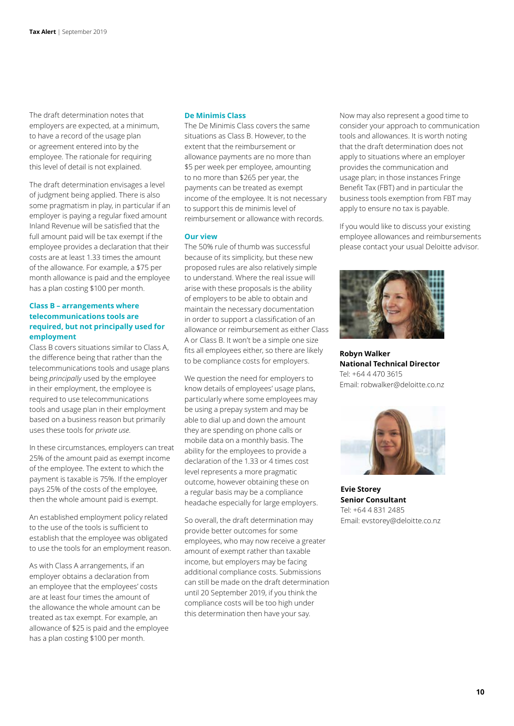The draft determination notes that employers are expected, at a minimum, to have a record of the usage plan or agreement entered into by the employee. The rationale for requiring this level of detail is not explained.

The draft determination envisages a level of judgment being applied. There is also some pragmatism in play, in particular if an employer is paying a regular fixed amount Inland Revenue will be satisfied that the full amount paid will be tax exempt if the employee provides a declaration that their costs are at least 1.33 times the amount of the allowance. For example, a \$75 per month allowance is paid and the employee has a plan costing \$100 per month.

# **Class B – arrangements where telecommunications tools are required, but not principally used for employment**

Class B covers situations similar to Class A, the difference being that rather than the telecommunications tools and usage plans being *principally* used by the employee in their employment, the employee is required to use telecommunications tools and usage plan in their employment based on a business reason but primarily uses these tools for *private use*.

In these circumstances, employers can treat 25% of the amount paid as exempt income of the employee. The extent to which the payment is taxable is 75%. If the employer pays 25% of the costs of the employee, then the whole amount paid is exempt.

An established employment policy related to the use of the tools is sufficient to establish that the employee was obligated to use the tools for an employment reason.

As with Class A arrangements, if an employer obtains a declaration from an employee that the employees' costs are at least four times the amount of the allowance the whole amount can be treated as tax exempt. For example, an allowance of \$25 is paid and the employee has a plan costing \$100 per month.

#### **De Minimis Class**

The De Minimis Class covers the same situations as Class B. However, to the extent that the reimbursement or allowance payments are no more than \$5 per week per employee, amounting to no more than \$265 per year, the payments can be treated as exempt income of the employee. It is not necessary to support this de minimis level of reimbursement or allowance with records.

#### **Our view**

The 50% rule of thumb was successful because of its simplicity, but these new proposed rules are also relatively simple to understand. Where the real issue will arise with these proposals is the ability of employers to be able to obtain and maintain the necessary documentation in order to support a classification of an allowance or reimbursement as either Class A or Class B. It won't be a simple one size fits all employees either, so there are likely to be compliance costs for employers.

We question the need for employers to know details of employees' usage plans, particularly where some employees may be using a prepay system and may be able to dial up and down the amount they are spending on phone calls or mobile data on a monthly basis. The ability for the employees to provide a declaration of the 1.33 or 4 times cost level represents a more pragmatic outcome, however obtaining these on a regular basis may be a compliance headache especially for large employers.

So overall, the draft determination may provide better outcomes for some employees, who may now receive a greater amount of exempt rather than taxable income, but employers may be facing additional compliance costs. Submissions can still be made on the draft determination until 20 September 2019, if you think the compliance costs will be too high under this determination then have your say.

Now may also represent a good time to consider your approach to communication tools and allowances. It is worth noting that the draft determination does not apply to situations where an employer provides the communication and usage plan; in those instances Fringe Benefit Tax (FBT) and in particular the business tools exemption from FBT may apply to ensure no tax is payable.

If you would like to discuss your existing employee allowances and reimbursements please contact your usual Deloitte advisor.



**Robyn Walker National Technical Director** Tel: +64 4 470 3615 Email: robwalker@deloitte.co.nz



**Evie Storey Senior Consultant** Tel: +64 4 831 2485 Email: evstorey@deloitte.co.nz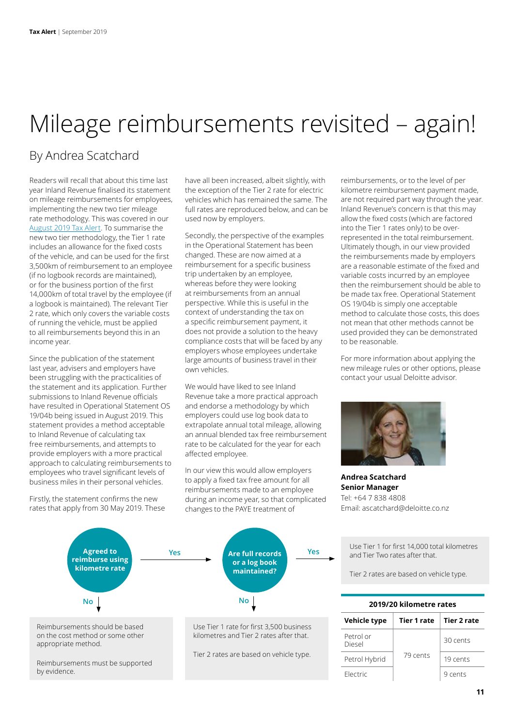# Mileage reimbursements revisited – again!

# By Andrea Scatchard

Readers will recall that about this time last year Inland Revenue finalised its statement on mileage reimbursements for employees, implementing the new two tier mileage rate methodology. This was covered in our [August 2019 Tax Alert.](https://www2.deloitte.com/nz/en/pages/tax-alerts/articles/statement-on-reimbursement-of-mileage-costs-finalised.html) To summarise the new two tier methodology, the Tier 1 rate includes an allowance for the fixed costs of the vehicle, and can be used for the first 3,500km of reimbursement to an employee (if no logbook records are maintained), or for the business portion of the first 14,000km of total travel by the employee (if a logbook is maintained). The relevant Tier 2 rate, which only covers the variable costs of running the vehicle, must be applied to all reimbursements beyond this in an income year.

Since the publication of the statement last year, advisers and employers have been struggling with the practicalities of the statement and its application. Further submissions to Inland Revenue officials have resulted in Operational Statement OS 19/04b being issued in August 2019. This statement provides a method acceptable to Inland Revenue of calculating tax free reimbursements, and attempts to provide employers with a more practical approach to calculating reimbursements to employees who travel significant levels of business miles in their personal vehicles.

Firstly, the statement confirms the new rates that apply from 30 May 2019. These

by evidence.

have all been increased, albeit slightly, with the exception of the Tier 2 rate for electric vehicles which has remained the same. The full rates are reproduced below, and can be used now by employers.

Secondly, the perspective of the examples in the Operational Statement has been changed. These are now aimed at a reimbursement for a specific business trip undertaken by an employee, whereas before they were looking at reimbursements from an annual perspective. While this is useful in the context of understanding the tax on a specific reimbursement payment, it does not provide a solution to the heavy compliance costs that will be faced by any employers whose employees undertake large amounts of business travel in their own vehicles.

We would have liked to see Inland Revenue take a more practical approach and endorse a methodology by which employers could use log book data to extrapolate annual total mileage, allowing an annual blended tax free reimbursement rate to be calculated for the year for each affected employee.

In our view this would allow employers to apply a fixed tax free amount for all reimbursements made to an employee during an income year, so that complicated changes to the PAYE treatment of



reimbursements, or to the level of per kilometre reimbursement payment made, are not required part way through the year. Inland Revenue's concern is that this may allow the fixed costs (which are factored into the Tier 1 rates only) to be overrepresented in the total reimbursement. Ultimately though, in our view provided the reimbursements made by employers are a reasonable estimate of the fixed and variable costs incurred by an employee then the reimbursement should be able to be made tax free. Operational Statement OS 19/04b is simply one acceptable method to calculate those costs, this does not mean that other methods cannot be used provided they can be demonstrated to be reasonable.

For more information about applying the new mileage rules or other options, please contact your usual Deloitte advisor.



**Andrea Scatchard Senior Manager** Tel: +64 7 838 4808 Email: ascatchard@deloitte.co.nz

Use Tier 1 for first 14,000 total kilometres and Tier Two rates after that.

Tier 2 rates are based on vehicle type.

| 2019/20 kilometre rates |                    |             |  |
|-------------------------|--------------------|-------------|--|
| Vehicle type            | <b>Tier 1 rate</b> | Tier 2 rate |  |
| Petrol or<br>Diesel     | 79 cents           | 30 cents    |  |
| Petrol Hybrid           |                    | 19 cents    |  |
| Flectric                |                    | 9 cents     |  |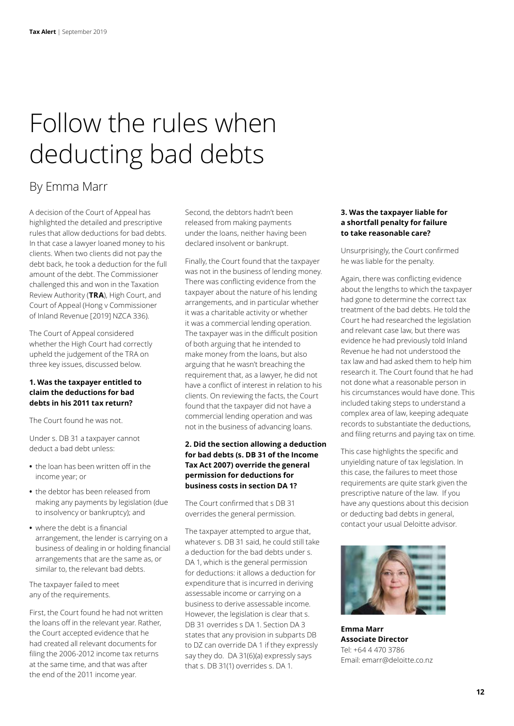# Follow the rules when deducting bad debts

# By Emma Marr

A decision of the Court of Appeal has highlighted the detailed and prescriptive rules that allow deductions for bad debts. In that case a lawyer loaned money to his clients. When two clients did not pay the debt back, he took a deduction for the full amount of the debt. The Commissioner challenged this and won in the Taxation Review Authority (**TRA**), High Court, and Court of Appeal (Hong v Commissioner of Inland Revenue [2019] NZCA 336).

The Court of Appeal considered whether the High Court had correctly upheld the judgement of the TRA on three key issues, discussed below.

# **1. Was the taxpayer entitled to claim the deductions for bad debts in his 2011 tax return?**

The Court found he was not.

Under s. DB 31 a taxpayer cannot deduct a bad debt unless:

- **•** the loan has been written off in the income year; or
- **•** the debtor has been released from making any payments by legislation (due to insolvency or bankruptcy); and
- **•** where the debt is a financial arrangement, the lender is carrying on a business of dealing in or holding financial arrangements that are the same as, or similar to, the relevant bad debts.

The taxpayer failed to meet any of the requirements.

First, the Court found he had not written the loans off in the relevant year. Rather, the Court accepted evidence that he had created all relevant documents for filing the 2006-2012 income tax returns at the same time, and that was after the end of the 2011 income year.

Second, the debtors hadn't been released from making payments under the loans, neither having been declared insolvent or bankrupt.

Finally, the Court found that the taxpayer was not in the business of lending money. There was conflicting evidence from the taxpayer about the nature of his lending arrangements, and in particular whether it was a charitable activity or whether it was a commercial lending operation. The taxpayer was in the difficult position of both arguing that he intended to make money from the loans, but also arguing that he wasn't breaching the requirement that, as a lawyer, he did not have a conflict of interest in relation to his clients. On reviewing the facts, the Court found that the taxpayer did not have a commercial lending operation and was not in the business of advancing loans.

# **2. Did the section allowing a deduction for bad debts (s. DB 31 of the Income Tax Act 2007) override the general permission for deductions for business costs in section DA 1?**

The Court confirmed that s DB 31 overrides the general permission.

The taxpayer attempted to argue that, whatever s. DB 31 said, he could still take a deduction for the bad debts under s. DA 1, which is the general permission for deductions: it allows a deduction for expenditure that is incurred in deriving assessable income or carrying on a business to derive assessable income. However, the legislation is clear that s. DB 31 overrides s DA 1. Section DA 3 states that any provision in subparts DB to DZ can override DA 1 if they expressly say they do. DA 31(6)(a) expressly says that s. DB 31(1) overrides s. DA 1.

# **3. Was the taxpayer liable for a shortfall penalty for failure to take reasonable care?**

Unsurprisingly, the Court confirmed he was liable for the penalty.

Again, there was conflicting evidence about the lengths to which the taxpayer had gone to determine the correct tax treatment of the bad debts. He told the Court he had researched the legislation and relevant case law, but there was evidence he had previously told Inland Revenue he had not understood the tax law and had asked them to help him research it. The Court found that he had not done what a reasonable person in his circumstances would have done. This included taking steps to understand a complex area of law, keeping adequate records to substantiate the deductions, and filing returns and paying tax on time.

This case highlights the specific and unyielding nature of tax legislation. In this case, the failures to meet those requirements are quite stark given the prescriptive nature of the law. If you have any questions about this decision or deducting bad debts in general, contact your usual Deloitte advisor.



**Emma Marr Associate Director** Tel: +64 4 470 3786 Email: emarr@deloitte.co.nz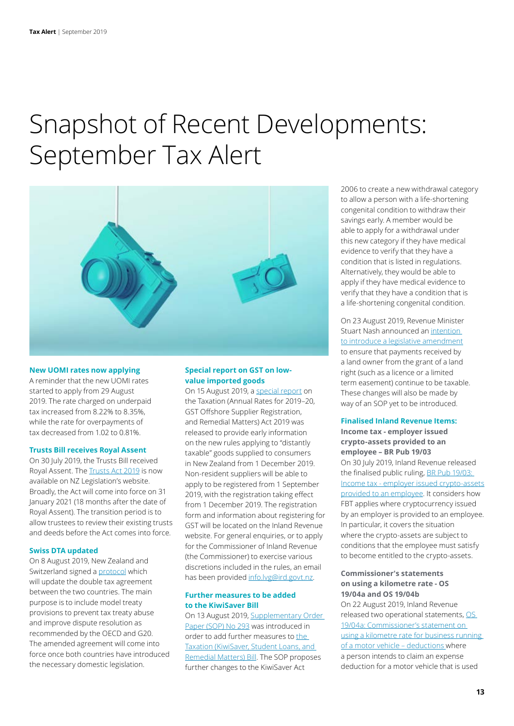# Snapshot of Recent Developments: September Tax Alert



#### **New UOMI rates now applying**

A reminder that the new UOMI rates started to apply from 29 August 2019. The rate charged on underpaid tax increased from 8.22% to 8.35%, while the rate for overpayments of tax decreased from 1.02 to 0.81%.

#### **Trusts Bill receives Royal Assent**

On 30 July 2019, the Trusts Bill received Royal Assent. The [Trusts Act 2019](http://www.legislation.govt.nz/act/public/2019/0038/latest/DLM7382815.html?src=qs) is now available on NZ Legislation's website. Broadly, the Act will come into force on 31 January 2021 (18 months after the date of Royal Assent). The transition period is to allow trustees to review their existing trusts and deeds before the Act comes into force.

## **Swiss DTA updated**

On 8 August 2019, New Zealand and Switzerland signed a [protocol](https://secure-web.cisco.com/1Se_peHZxO4eLjGn5Q7nmWI3fKhCsY6W0BRAmvkSXU6Bd_3YIWWdpbz22aWglIw3S7RhPYQCs_dWy9UsnrVinGhppaD8LAa6YzSVpPBUxKTLvAedy5ZsYM7UriHIqeM8ScNnizLzcmSGCZ4aKTAJGb7DUViCJW5IVlqnJt69IHG5A9TLyVC8iAmb6d9XhS_LJ71yxGDnEaPRCpq_RBOnmqHdgDSgokfvGqCSMQCZKdpAdWUeHzjA1OxPyJajKmLsuMXidPtLcJJLxwZUKlGozXh4ZqR1oye_cK-aVgW_wLSQy-cc4ecyIxsUv3H4qXjtqicIcBpStvuv44sgy-WLH6A/https%3A%2F%2Fa1.miemail.co.nz%2Fch%2F71641%2F642cd%2F2059342%2FN_9d42h35e7USmd8aj8tJdFyGBPRkNkUajiLcDfI.html) which will update the double tax agreement between the two countries. The main purpose is to include model treaty provisions to prevent tax treaty abuse and improve dispute resolution as recommended by the OECD and G20. The amended agreement will come into force once both countries have introduced the necessary domestic legislation.

## **Special report on GST on lowvalue imported goods**

On 15 August 2019, a [special report](https://secure-web.cisco.com/1FyFU0GplmSalVTXfExIBMmosjCrXL1mlodTRwsh2Uj0KqZts7Sx2G-pUqdtWnIM7nHOb0VwfW9sbPVqdrNpXlWxjaAiRU4griLKuPQMfWaI7R5v9UsAuoMsiVXhJjdwfQLE5oXT0YaUbbjrT7h6KgnpDERmzt0e4Evpa5WT9PgRn32M14RlqrJ4z2dH4SbBu5aeqILJhWmtAGtWPd-RGE3PJAzlke2s7ZSPxKa5wLhYODJtxyu3MCzhiEjvQBMrJ7lDOEgiKPucWSL8_m7nlIICMoKwsdeTcncE9FMZCWoq6Z65OsAZJce0fZtw4e76ECE0fmr_v40fSB24b2_SUAg/https%3A%2F%2Fa1.miemail.co.nz%2Fch%2F71641%2F64snx%2F2062799%2FMmSjJmZEJUWMjMhwms6QGQcVMhKz3te4f.FgV9ua.html) on the Taxation (Annual Rates for 2019–20, GST Offshore Supplier Registration, and Remedial Matters) Act 2019 was released to provide early information on the new rules applying to "distantly taxable" goods supplied to consumers in New Zealand from 1 December 2019. Non-resident suppliers will be able to apply to be registered from 1 September 2019, with the registration taking effect from 1 December 2019. The registration form and information about registering for GST will be located on the Inland Revenue website. For general enquiries, or to apply for the Commissioner of Inland Revenue (the Commissioner) to exercise various discretions included in the rules, an email has been provided [info.lvg@ird.govt.nz](mailto:info.lvg@ird.govt.nz).

# **Further measures to be added to the KiwiSaver Bill**

On 13 August 2019, [Supplementary Order](http://legislation.govt.nz/sop/government/2019/0293/latest/whole.html)  [Paper \(SOP\) No 293](http://legislation.govt.nz/sop/government/2019/0293/latest/whole.html) was introduced in order to add further measures to [the](https://secure-web.cisco.com/1Wr8UyEhDDLOuwpd00vQis84RlVuCHzvoq6_MGs0yL_knKSIBZfdWLuNLBP-9vwsv11Ujc2wqTP752Coj0rGNx6dQEDYShlcw644EXYMXr6NgHqxaunzo8_tTB2Gb6oy1dDocul_IfyRsKauNa9LVIZJ-mQsira1gwWOFYY7oIqvOkCy7eBPBuVQzJqUReoXk9Y3K-v9eH-1J7D8Cu7VvBk-2OlDqwS5xf3Cyjx9iO9BYEeSz5LZ4us3tx7bM-I2LLRgWjh__kyZVbNgY-gtzGIDebDpPpowVsWhFPVvDO9FpxLtpMl5WJ4HZ4IYbO8ojEfLYY8cPw2zyjb45aPMQLA/https%3A%2F%2Fa1.miemail.co.nz%2Fch%2F71641%2F64g8z%2F2061912%2FQw_9ntY8lvuSaa2at2qVWL3wJSLrqdA9LN1Jj2Cp.html)  [Taxation \(KiwiSaver, Student Loans, and](https://secure-web.cisco.com/1Wr8UyEhDDLOuwpd00vQis84RlVuCHzvoq6_MGs0yL_knKSIBZfdWLuNLBP-9vwsv11Ujc2wqTP752Coj0rGNx6dQEDYShlcw644EXYMXr6NgHqxaunzo8_tTB2Gb6oy1dDocul_IfyRsKauNa9LVIZJ-mQsira1gwWOFYY7oIqvOkCy7eBPBuVQzJqUReoXk9Y3K-v9eH-1J7D8Cu7VvBk-2OlDqwS5xf3Cyjx9iO9BYEeSz5LZ4us3tx7bM-I2LLRgWjh__kyZVbNgY-gtzGIDebDpPpowVsWhFPVvDO9FpxLtpMl5WJ4HZ4IYbO8ojEfLYY8cPw2zyjb45aPMQLA/https%3A%2F%2Fa1.miemail.co.nz%2Fch%2F71641%2F64g8z%2F2061912%2FQw_9ntY8lvuSaa2at2qVWL3wJSLrqdA9LN1Jj2Cp.html)  [Remedial Matters\) Bill](https://secure-web.cisco.com/1Wr8UyEhDDLOuwpd00vQis84RlVuCHzvoq6_MGs0yL_knKSIBZfdWLuNLBP-9vwsv11Ujc2wqTP752Coj0rGNx6dQEDYShlcw644EXYMXr6NgHqxaunzo8_tTB2Gb6oy1dDocul_IfyRsKauNa9LVIZJ-mQsira1gwWOFYY7oIqvOkCy7eBPBuVQzJqUReoXk9Y3K-v9eH-1J7D8Cu7VvBk-2OlDqwS5xf3Cyjx9iO9BYEeSz5LZ4us3tx7bM-I2LLRgWjh__kyZVbNgY-gtzGIDebDpPpowVsWhFPVvDO9FpxLtpMl5WJ4HZ4IYbO8ojEfLYY8cPw2zyjb45aPMQLA/https%3A%2F%2Fa1.miemail.co.nz%2Fch%2F71641%2F64g8z%2F2061912%2FQw_9ntY8lvuSaa2at2qVWL3wJSLrqdA9LN1Jj2Cp.html). The SOP proposes further changes to the KiwiSaver Act

2006 to create a new withdrawal category to allow a person with a life-shortening congenital condition to withdraw their savings early. A member would be able to apply for a withdrawal under this new category if they have medical evidence to verify that they have a condition that is listed in regulations. Alternatively, they would be able to apply if they have medical evidence to verify that they have a condition that is a life-shortening congenital condition.

On 23 August 2019, Revenue Minister Stuart Nash announced an [intention](http://taxpolicy.ird.govt.nz/news/2019-08-23-minister-confirms-land-use-payments-are-taxable#statement)  [to introduce a legislative amendment](http://taxpolicy.ird.govt.nz/news/2019-08-23-minister-confirms-land-use-payments-are-taxable#statement) to ensure that payments received by a land owner from the grant of a land right (such as a licence or a limited term easement) continue to be taxable. These changes will also be made by way of an SOP yet to be introduced.

### **Finalised Inland Revenue Items:**

**Income tax - employer issued crypto-assets provided to an employee – BR Pub 19/03** On 30 July 2019, Inland Revenue released the finalised public ruling, BR Pub 19/03: [Income tax - employer issued crypto-assets](https://www.classic.ird.govt.nz/resources/1/8/18377ebd-5790-4607-9357-5718239f3d09/brprd-1903.pdf) [provided to an employee](https://www.classic.ird.govt.nz/resources/1/8/18377ebd-5790-4607-9357-5718239f3d09/brprd-1903.pdf). It considers how FBT applies where cryptocurrency issued by an employer is provided to an employee. In particular, it covers the situation where the crypto-assets are subject to conditions that the employee must satisfy to become entitled to the crypto-assets.

### **Commissioner's statements on using a kilometre rate - OS 19/04a and OS 19/04b**

On 22 August 2019, Inland Revenue released two operational statements, [OS](https://www.classic.ird.govt.nz/technical-tax/op-statements/1904a-kilometre-rate-motor-vehicle.html)  [19/04a: Commissioner's statement on](https://www.classic.ird.govt.nz/technical-tax/op-statements/1904a-kilometre-rate-motor-vehicle.html)  [using a kilometre rate for business running](https://www.classic.ird.govt.nz/technical-tax/op-statements/1904a-kilometre-rate-motor-vehicle.html)  [of a motor vehicle – deductions](https://www.classic.ird.govt.nz/technical-tax/op-statements/1904a-kilometre-rate-motor-vehicle.html) where a person intends to claim an expense deduction for a motor vehicle that is used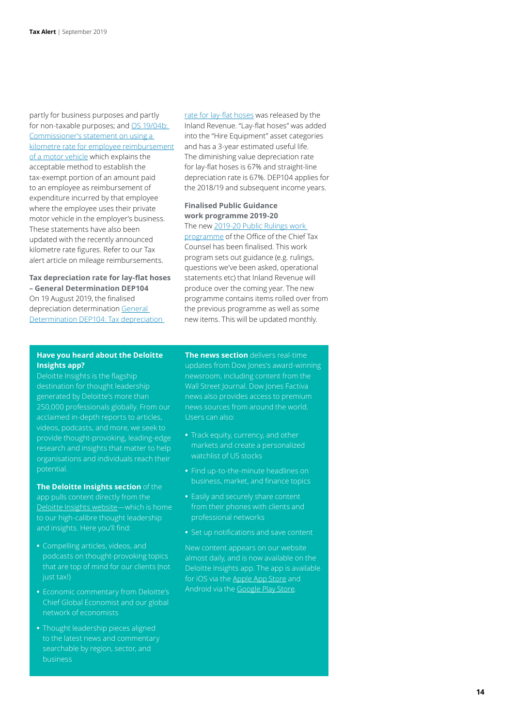partly for business purposes and partly for non-taxable purposes; and OS 19/04b: [Commissioner's statement on using a](https://www.classic.ird.govt.nz/technical-tax/op-statements/1904b-employee-kilometre-rate-motor-vehicle.html)  [kilometre rate for employee reimbursement](https://www.classic.ird.govt.nz/technical-tax/op-statements/1904b-employee-kilometre-rate-motor-vehicle.html)  [of a motor vehicle](https://www.classic.ird.govt.nz/technical-tax/op-statements/1904b-employee-kilometre-rate-motor-vehicle.html) which explains the acceptable method to establish the tax-exempt portion of an amount paid to an employee as reimbursement of expenditure incurred by that employee where the employee uses their private motor vehicle in the employer's business. These statements have also been updated with the recently announced kilometre rate figures. Refer to our Tax alert article on mileage reimbursements.

**Tax depreciation rate for lay-flat hoses – General Determination DEP104** On 19 August 2019, the finalised depreciation determination [General](https://www.classic.ird.govt.nz/technical-tax/determinations/depreciation/depreciation-deter-dep104.html)  [Determination DEP104: Tax depreciation](https://www.classic.ird.govt.nz/technical-tax/determinations/depreciation/depreciation-deter-dep104.html) 

[rate for lay-flat hoses](https://www.classic.ird.govt.nz/technical-tax/determinations/depreciation/depreciation-deter-dep104.html) was released by the Inland Revenue. "Lay-flat hoses" was added into the "Hire Equipment" asset categories and has a 3-year estimated useful life. The diminishing value depreciation rate for lay-flat hoses is 67% and straight-line depreciation rate is 67%. DEP104 applies for the 2018/19 and subsequent income years.

# **Finalised Public Guidance work programme 2019-20**

The new [2019-20 Public Rulings work](https://www.classic.ird.govt.nz/public-consultation/work-prog/public-consult-work-programme.html)  [programme](https://www.classic.ird.govt.nz/public-consultation/work-prog/public-consult-work-programme.html) of the Office of the Chief Tax Counsel has been finalised. This work program sets out guidance (e.g. rulings, questions we've been asked, operational statements etc) that Inland Revenue will produce over the coming year. The new programme contains items rolled over from the previous programme as well as some new items. This will be updated monthly.

## **Have you heard about the Deloitte Insights app?**

Deloitte Insights is the flagship destination for thought leadership generated by Deloitte's more than 250,000 professionals globally. From our acclaimed in-depth reports to articles, videos, podcasts, and more, we seek to provide thought-provoking, leading-edge research and insights that matter to help organisations and individuals reach their potential.

# **The Deloitte Insights section** of the

app pulls content directly from the [Deloitte Insights website](http://www.deloitte.com/insights)—which is home to our high-calibre thought leadership and insights. Here you'll find:

- **•** Compelling articles, videos, and podcasts on thought-provoking topics that are top of mind for our clients (not just tax!)
- **•** Economic commentary from Deloitte's Chief Global Economist and our global network of economists
- **•** Thought leadership pieces aligned to the latest news and commentary searchable by region, sector, and business

**The news section** delivers real-time updates from Dow Jones's award-winning newsroom, including content from the Wall Street Journal. Dow Jones Factiva news also provides access to premium news sources from around the world. Users can also:

- markets and create a personalized watchlist of US stocks
- **•** Find up-to-the-minute headlines on business, market, and finance topics
- **•** Easily and securely share content from their phones with clients and professional networks
- **•** Set up notifications and save content

New content appears on our website almost daily, and is now available on the Deloitte Insights app. The app is available for iOS via the [Apple App Store](https://itunes.apple.com/us/app/deloitte-insights/id1435348849?mt=8) and Android via the [Google Play Store](https://play.google.com/store/apps/details?id=com.insights.deloitte&hl=en_US).